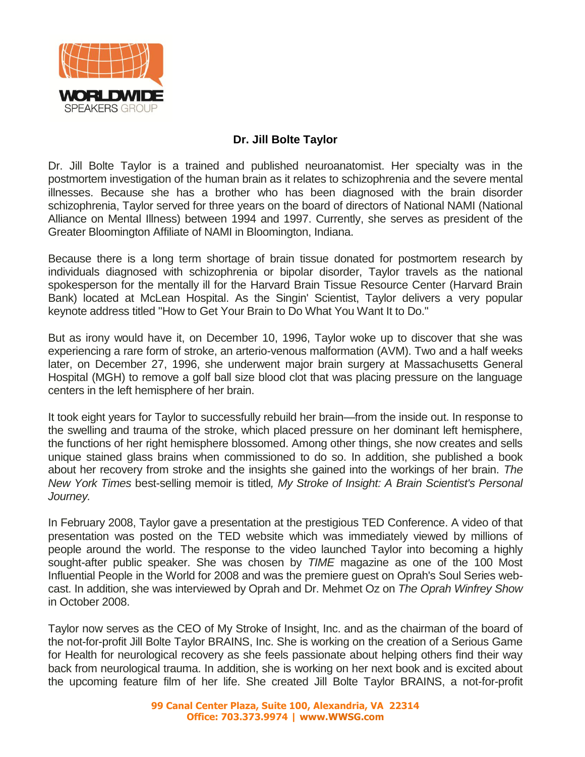

## **Dr. Jill Bolte Taylor**

Dr. Jill Bolte Taylor is a trained and published neuroanatomist. Her specialty was in the postmortem investigation of the human brain as it relates to schizophrenia and the severe mental illnesses. Because she has a brother who has been diagnosed with the brain disorder schizophrenia, Taylor served for three years on the board of directors of National NAMI (National Alliance on Mental Illness) between 1994 and 1997. Currently, she serves as president of the Greater Bloomington Affiliate of NAMI in Bloomington, Indiana.

Because there is a long term shortage of brain tissue donated for postmortem research by individuals diagnosed with schizophrenia or bipolar disorder, Taylor travels as the national spokesperson for the mentally ill for the Harvard Brain Tissue Resource Center (Harvard Brain Bank) located at McLean Hospital. As the Singin' Scientist, Taylor delivers a very popular keynote address titled "How to Get Your Brain to Do What You Want It to Do."

But as irony would have it, on December 10, 1996, Taylor woke up to discover that she was experiencing a rare form of stroke, an arterio-venous malformation (AVM). Two and a half weeks later, on December 27, 1996, she underwent major brain surgery at Massachusetts General Hospital (MGH) to remove a golf ball size blood clot that was placing pressure on the language centers in the left hemisphere of her brain.

It took eight years for Taylor to successfully rebuild her brain—from the inside out. In response to the swelling and trauma of the stroke, which placed pressure on her dominant left hemisphere, the functions of her right hemisphere blossomed. Among other things, she now creates and sells unique stained glass brains when commissioned to do so. In addition, she published a book about her recovery from stroke and the insights she gained into the workings of her brain. *The New York Times* best-selling memoir is titled*, My Stroke of Insight: A Brain Scientist's Personal Journey.*

In February 2008, Taylor gave a presentation at the prestigious TED Conference. A video of that presentation was posted on the TED website which was immediately viewed by millions of people around the world. The response to the video launched Taylor into becoming a highly sought-after public speaker. She was chosen by *TIME* magazine as one of the 100 Most Influential People in the World for 2008 and was the premiere guest on Oprah's Soul Series webcast. In addition, she was interviewed by Oprah and Dr. Mehmet Oz on *The Oprah Winfrey Show* in October 2008.

Taylor now serves as the CEO of My Stroke of Insight, Inc. and as the chairman of the board of the not-for-profit Jill Bolte Taylor BRAINS, Inc. She is working on the creation of a Serious Game for Health for neurological recovery as she feels passionate about helping others find their way back from neurological trauma. In addition, she is working on her next book and is excited about the upcoming feature film of her life. She created Jill Bolte Taylor BRAINS, a not-for-profit